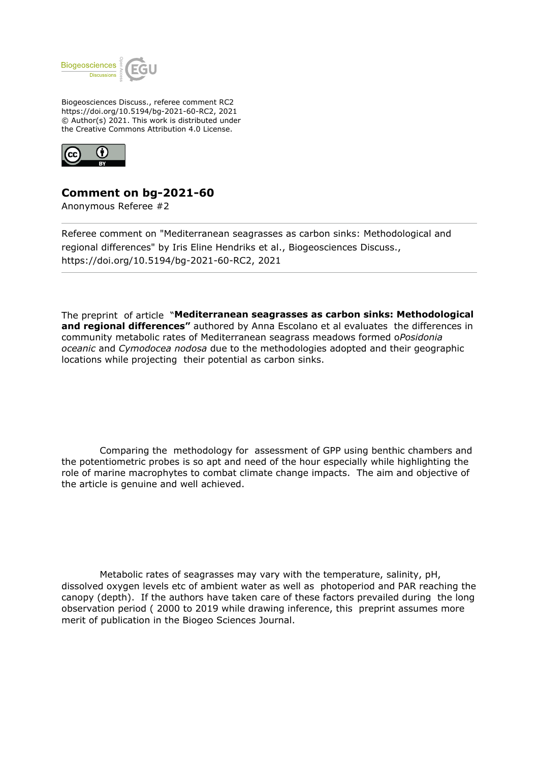

Biogeosciences Discuss., referee comment RC2 https://doi.org/10.5194/bg-2021-60-RC2, 2021 © Author(s) 2021. This work is distributed under the Creative Commons Attribution 4.0 License.



## **Comment on bg-2021-60**

Anonymous Referee #2

Referee comment on "Mediterranean seagrasses as carbon sinks: Methodological and regional differences" by Iris Eline Hendriks et al., Biogeosciences Discuss., https://doi.org/10.5194/bg-2021-60-RC2, 2021

The preprint of article "**Mediterranean seagrasses as carbon sinks: Methodological and regional differences"** authored by Anna Escolano et al evaluates the differences in community metabolic rates of Mediterranean seagrass meadows formed o*Posidonia oceanic* and *Cymodocea nodosa* due to the methodologies adopted and their geographic locations while projecting their potential as carbon sinks.

 Comparing the methodology for assessment of GPP using benthic chambers and the potentiometric probes is so apt and need of the hour especially while highlighting the role of marine macrophytes to combat climate change impacts. The aim and objective of the article is genuine and well achieved.

 Metabolic rates of seagrasses may vary with the temperature, salinity, pH, dissolved oxygen levels etc of ambient water as well as photoperiod and PAR reaching the canopy (depth). If the authors have taken care of these factors prevailed during the long observation period ( 2000 to 2019 while drawing inference, this preprint assumes more merit of publication in the Biogeo Sciences Journal.